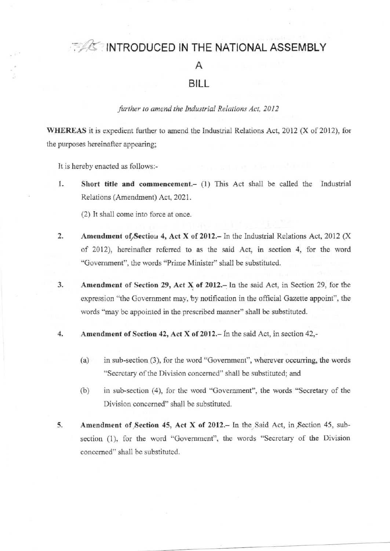# **ACTINTRODUCED IN THE NATIONAL ASSEMBLY**

## Α

### BILL

#### further to amend the Industrial Relations Act, 2012

WHEREAS it is expedient further to amend the Industrial Relations Act, 2012 (X of 2012), for the purposes hereinafter appearing;

It is hereby enacted as follows:-

1. Short title and commencement.- (1) This Act shall be called the Industrial Relations (Amendment) Act, 2021.

(2) It shall come into force at once.

- $\overline{2}$ Amendment of Section 4, Act X of 2012. - In the Industrial Relations Act, 2012 (X of 2012), hereinafter referred to as the said Act, in section 4, for the word "Government", the words "Prime Minister" shall be substituted.
- $3.$ Amendment of Section 29, Act X of 2012. In the said Act, in Section 29, for the expression "the Government may, by notification in the official Gazette appoint", the words "may be appointed in the prescribed manner" shall be substituted.
- $\overline{4}$ . Amendment of Section 42, Act X of 2012. - In the said Act, in section 42,
	- in sub-section (3), for the word "Government", wherever occurring, the words  $(a)$ "Secretary of the Division concerned" shall be substituted; and
	- $(b)$ in sub-section (4), for the word "Government", the words "Secretary of the Division concerned" shall be substituted.
- 5. Amendment of Section 45, Act X of 2012. In the Said Act, in Section 45, subsection (1), for the word "Government", the words "Secretary of the Division concerned" shall be substituted.